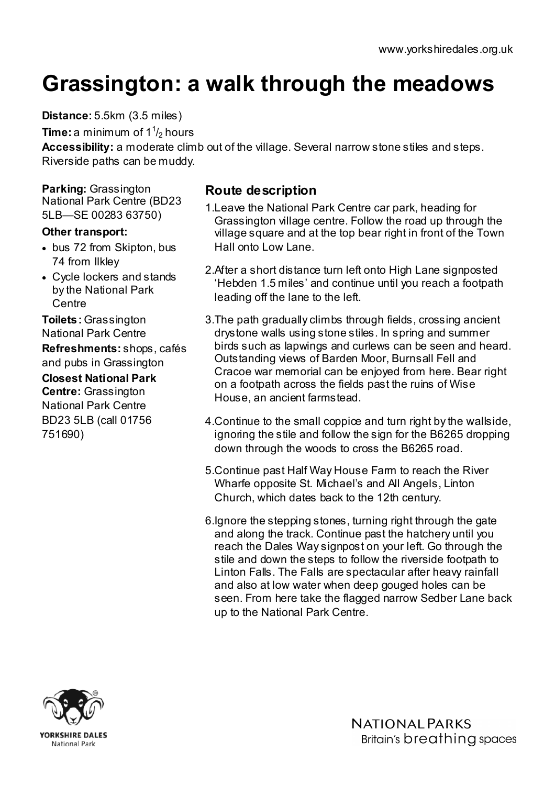## Grassington: a walk through the meadows

Distance: 5.5km (3.5 miles)

**Time:** a minimum of 1  $\frac{1}{2}$  hours

Accessibility: a moderate climb out of the village. Several narrow stone stiles and steps. Riverside paths can be muddy.

Parking: Grassington National Park Centre (BD23 5LB—SE 00283 63750)

## Other transport:

- bus 72 from Skipton, bus 74 from Ilkley
- Cycle lockers and stands by the National Park **Centre**

Toilets: Grassington National Park Centre Refreshments: shops, cafés and pubs in Grassington

Closest National Park Centre: Grassington National Park Centre BD23 5LB (call 01756 751690)

## Route description

- 1.Leave the National Park Centre car park, heading for Grassington village centre. Follow the road up through the village square and at the top bear right in front of the Town Hall onto Low Lane.
- 2.After a short distance turn left onto High Lane signposted 'Hebden 1.5 miles' and continue until you reach a footpath leading off the lane to the left.
- 3.The path gradually climbs through fields, crossing ancient drystone walls using stone stiles. In spring and summer birds such as lapwings and curlews can be seen and heard. Outstanding views of Barden Moor, Burnsall Fell and Cracoe war memorial can be enjoyed from here. Bear right on a footpath across the fields past the ruins of Wise House, an ancient farmstead.
- 4.Continue to the small coppice and turn right by the wallside, ignoring the stile and follow the sign for the B6265 dropping down through the woods to cross the B6265 road.
- 5.Continue past Half Way House Farm to reach the River Wharfe opposite St. Michael's and All Angels, Linton Church, which dates back to the 12th century.
- 6.Ignore the stepping stones, turning right through the gate and along the track. Continue past the hatchery until you reach the Dales Way signpost on your left. Go through the stile and down the steps to follow the riverside footpath to Linton Falls. The Falls are spectacular after heavy rainfall and also at low water when deep gouged holes can be seen. From here take the flagged narrow Sedber Lane back up to the National Park Centre.



**NATIONAL PARKS** Britain's breathing spaces